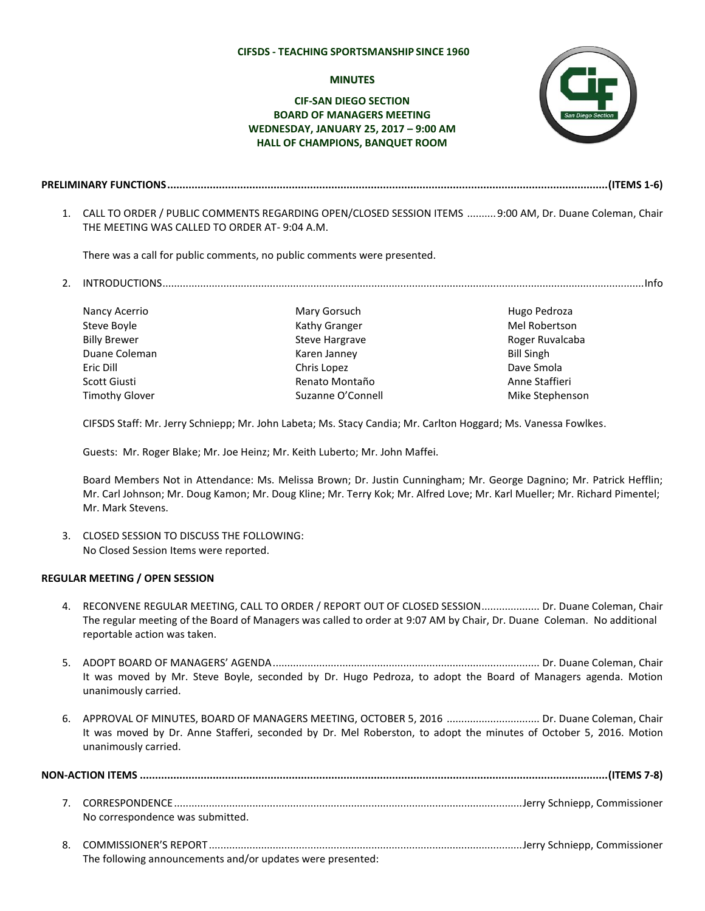#### **CIFSDS - TEACHING SPORTSMANSHIP SINCE 1960**

### **MINUTES**

# **CIF-SAN DIEGO SECTION BOARD OF MANAGERS MEETING WEDNESDAY, JANUARY 25, 2017 – 9:00 AM HALL OF CHAMPIONS, BANQUET ROOM**



**PRELIMINARY FUNCTIONS.................................................................................................................................................(ITEMS 1-6)**

1. CALL TO ORDER / PUBLIC COMMENTS REGARDING OPEN/CLOSED SESSION ITEMS ..........9:00 AM, Dr. Duane Coleman, Chair THE MEETING WAS CALLED TO ORDER AT- 9:04 A.M.

There was a call for public comments, no public comments were presented.

2. INTRODUCTIONS......................................................................................................................................................................Info

Nancy Acerrio Steve Boyle Billy Brewer Duane Coleman Eric Dill Scott Giusti Timothy Glover

Mary Gorsuch Kathy Granger Steve Hargrave Karen Janney Chris Lopez Renato Montaño Suzanne O'Connell  Hugo Pedroza Mel Robertson Roger Ruvalcaba Bill Singh Dave Smola Anne Staffieri Mike Stephenson

CIFSDS Staff: Mr. Jerry Schniepp; Mr. John Labeta; Ms. Stacy Candia; Mr. Carlton Hoggard; Ms. Vanessa Fowlkes.

Guests: Mr. Roger Blake; Mr. Joe Heinz; Mr. Keith Luberto; Mr. John Maffei.

The following announcements and/or updates were presented:

Board Members Not in Attendance: Ms. Melissa Brown; Dr. Justin Cunningham; Mr. George Dagnino; Mr. Patrick Hefflin; Mr. Carl Johnson; Mr. Doug Kamon; Mr. Doug Kline; Mr. Terry Kok; Mr. Alfred Love; Mr. Karl Mueller; Mr. Richard Pimentel; Mr. Mark Stevens.

3. CLOSED SESSION TO DISCUSS THE FOLLOWING: No Closed Session Items were reported.

#### **REGULAR MEETING / OPEN SESSION**

- 4. RECONVENE REGULAR MEETING, CALL TO ORDER / REPORT OUT OF CLOSED SESSION.................... Dr. Duane Coleman, Chair The regular meeting of the Board of Managers was called to order at 9:07 AM by Chair, Dr. Duane Coleman. No additional reportable action was taken.
- 5. ADOPT BOARD OF MANAGERS' AGENDA............................................................................................ Dr. Duane Coleman, Chair It was moved by Mr. Steve Boyle, seconded by Dr. Hugo Pedroza, to adopt the Board of Managers agenda. Motion unanimously carried.
- 6. APPROVAL OF MINUTES, BOARD OF MANAGERS MEETING, OCTOBER 5, 2016 ................................ Dr. Duane Coleman, Chair It was moved by Dr. Anne Stafferi, seconded by Dr. Mel Roberston, to adopt the minutes of October 5, 2016. Motion unanimously carried.

| No correspondence was submitted. |  |
|----------------------------------|--|
|                                  |  |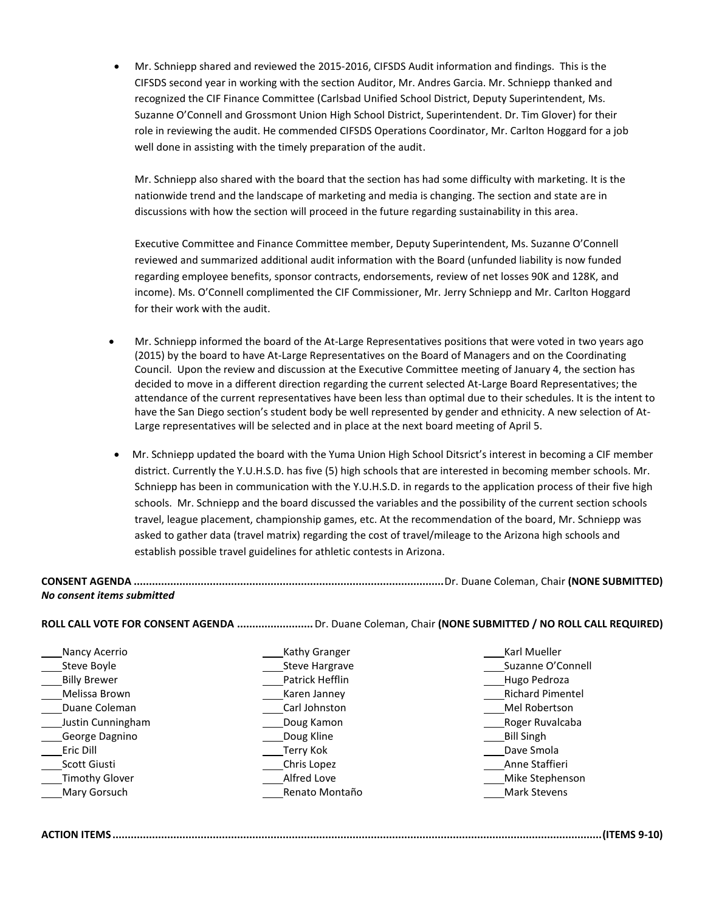Mr. Schniepp shared and reviewed the 2015-2016, CIFSDS Audit information and findings. This is the CIFSDS second year in working with the section Auditor, Mr. Andres Garcia. Mr. Schniepp thanked and recognized the CIF Finance Committee (Carlsbad Unified School District, Deputy Superintendent, Ms. Suzanne O'Connell and Grossmont Union High School District, Superintendent. Dr. Tim Glover) for their role in reviewing the audit. He commended CIFSDS Operations Coordinator, Mr. Carlton Hoggard for a job well done in assisting with the timely preparation of the audit.

Mr. Schniepp also shared with the board that the section has had some difficulty with marketing. It is the nationwide trend and the landscape of marketing and media is changing. The section and state are in discussions with how the section will proceed in the future regarding sustainability in this area.

Executive Committee and Finance Committee member, Deputy Superintendent, Ms. Suzanne O'Connell reviewed and summarized additional audit information with the Board (unfunded liability is now funded regarding employee benefits, sponsor contracts, endorsements, review of net losses 90K and 128K, and income). Ms. O'Connell complimented the CIF Commissioner, Mr. Jerry Schniepp and Mr. Carlton Hoggard for their work with the audit.

- Mr. Schniepp informed the board of the At-Large Representatives positions that were voted in two years ago (2015) by the board to have At-Large Representatives on the Board of Managers and on the Coordinating Council. Upon the review and discussion at the Executive Committee meeting of January 4, the section has decided to move in a different direction regarding the current selected At-Large Board Representatives; the attendance of the current representatives have been less than optimal due to their schedules. It is the intent to have the San Diego section's student body be well represented by gender and ethnicity. A new selection of At-Large representatives will be selected and in place at the next board meeting of April 5.
- Mr. Schniepp updated the board with the Yuma Union High School Ditsrict's interest in becoming a CIF member district. Currently the Y.U.H.S.D. has five (5) high schools that are interested in becoming member schools. Mr. Schniepp has been in communication with the Y.U.H.S.D. in regards to the application process of their five high schools. Mr. Schniepp and the board discussed the variables and the possibility of the current section schools travel, league placement, championship games, etc. At the recommendation of the board, Mr. Schniepp was asked to gather data (travel matrix) regarding the cost of travel/mileage to the Arizona high schools and establish possible travel guidelines for athletic contests in Arizona.

# **CONSENT AGENDA ......................................................................................................**Dr. Duane Coleman, Chair **(NONE SUBMITTED)** *No consent items submitted*

**ROLL CALL VOTE FOR CONSENT AGENDA .........................**Dr. Duane Coleman, Chair **(NONE SUBMITTED / NO ROLL CALL REQUIRED)** 

| Nancy Acerrio         | Kathy Granger   | Karl Mueller            |
|-----------------------|-----------------|-------------------------|
| Steve Boyle           | Steve Hargrave  | Suzanne O'Connell       |
| <b>Billy Brewer</b>   | Patrick Hefflin | Hugo Pedroza            |
| Melissa Brown         | Karen Janney    | <b>Richard Pimentel</b> |
| Duane Coleman         | Carl Johnston   | Mel Robertson           |
| Justin Cunningham     | Doug Kamon      | Roger Ruvalcaba         |
| George Dagnino        | Doug Kline      | <b>Bill Singh</b>       |
| Eric Dill             | Terry Kok       | Dave Smola              |
| Scott Giusti          | Chris Lopez     | Anne Staffieri          |
| <b>Timothy Glover</b> | Alfred Love     | Mike Stephenson         |
| Mary Gorsuch          | Renato Montaño  | Mark Stevens            |

# **ACTION ITEMS .................................................................................................................................................................(ITEMS 9-10)**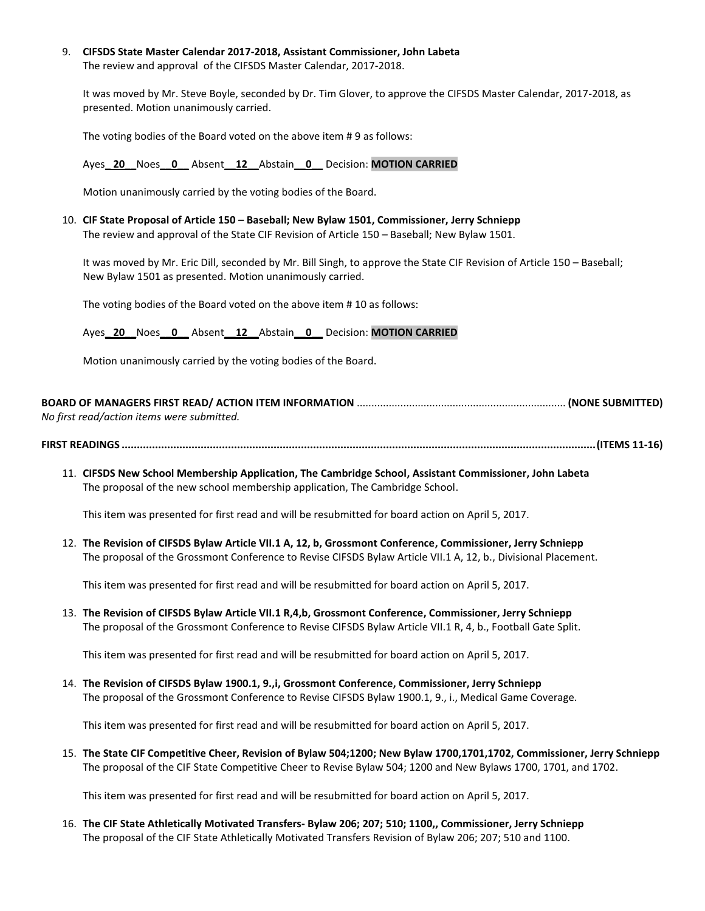9. **CIFSDS State Master Calendar 2017-2018, Assistant Commissioner, John Labeta** The review and approval of the CIFSDS Master Calendar, 2017-2018.

It was moved by Mr. Steve Boyle, seconded by Dr. Tim Glover, to approve the CIFSDS Master Calendar, 2017-2018, as presented. Motion unanimously carried.

The voting bodies of the Board voted on the above item # 9 as follows:

### Ayes**\_ 20\_\_**Noes**\_\_0\_\_** Absent**\_\_12\_\_**Abstain**\_\_0\_\_** Decision: **MOTION CARRIED**

Motion unanimously carried by the voting bodies of the Board.

10. **CIF State Proposal of Article 150 – Baseball; New Bylaw 1501, Commissioner, Jerry Schniepp** The review and approval of the State CIF Revision of Article 150 – Baseball; New Bylaw 1501.

It was moved by Mr. Eric Dill, seconded by Mr. Bill Singh, to approve the State CIF Revision of Article 150 – Baseball; New Bylaw 1501 as presented. Motion unanimously carried.

The voting bodies of the Board voted on the above item # 10 as follows:

Ayes**\_ 20\_\_**Noes**\_\_0\_\_** Absent**\_\_12\_\_**Abstain**\_\_0\_\_** Decision: **MOTION CARRIED**

Motion unanimously carried by the voting bodies of the Board.

# **BOARD OF MANAGERS FIRST READ/ ACTION ITEM INFORMATION** ........................................................................ **(NONE SUBMITTED)** *No first read/action items were submitted.*

**FIRST READINGS ............................................................................................................................................................(ITEMS 11-16)**

11. **CIFSDS New School Membership Application, The Cambridge School, Assistant Commissioner, John Labeta** The proposal of the new school membership application, The Cambridge School.

This item was presented for first read and will be resubmitted for board action on April 5, 2017.

12. **The Revision of CIFSDS Bylaw Article VII.1 A, 12, b, Grossmont Conference, Commissioner, Jerry Schniepp** The proposal of the Grossmont Conference to Revise CIFSDS Bylaw Article VII.1 A, 12, b., Divisional Placement.

This item was presented for first read and will be resubmitted for board action on April 5, 2017.

13. **The Revision of CIFSDS Bylaw Article VII.1 R,4,b, Grossmont Conference, Commissioner, Jerry Schniepp** The proposal of the Grossmont Conference to Revise CIFSDS Bylaw Article VII.1 R, 4, b., Football Gate Split.

This item was presented for first read and will be resubmitted for board action on April 5, 2017.

14. **The Revision of CIFSDS Bylaw 1900.1, 9.,i, Grossmont Conference, Commissioner, Jerry Schniepp** The proposal of the Grossmont Conference to Revise CIFSDS Bylaw 1900.1, 9., i., Medical Game Coverage.

This item was presented for first read and will be resubmitted for board action on April 5, 2017.

15. **The State CIF Competitive Cheer, Revision of Bylaw 504;1200; New Bylaw 1700,1701,1702, Commissioner, Jerry Schniepp** The proposal of the CIF State Competitive Cheer to Revise Bylaw 504; 1200 and New Bylaws 1700, 1701, and 1702.

This item was presented for first read and will be resubmitted for board action on April 5, 2017.

16. **The CIF State Athletically Motivated Transfers- Bylaw 206; 207; 510; 1100,, Commissioner, Jerry Schniepp** The proposal of the CIF State Athletically Motivated Transfers Revision of Bylaw 206; 207; 510 and 1100.